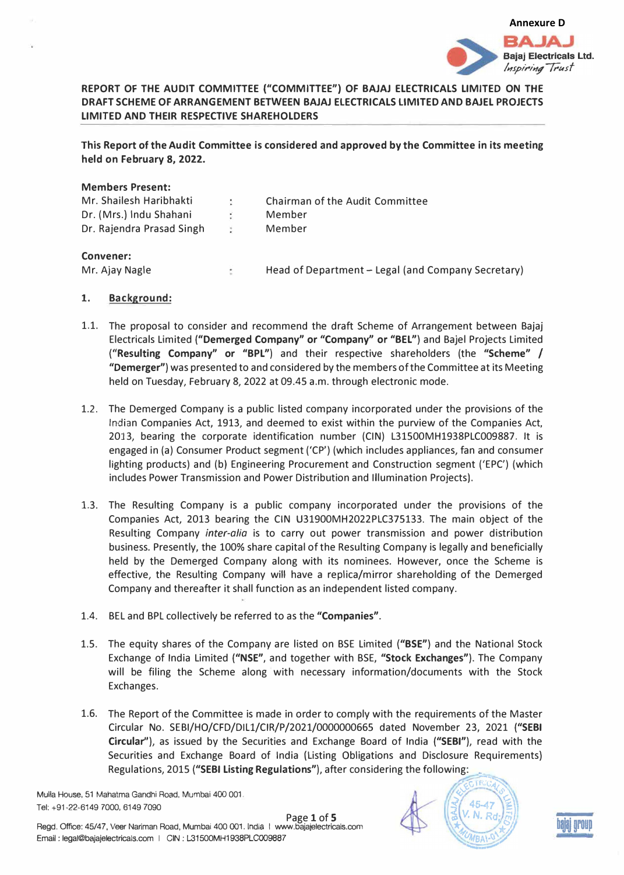

# **REPORT OF THE AUDIT COMMITTEE ("COMMITTEE") OF BAJAJ ELECTRICALS LIMITED ON THE DRAFT SCHEME OF ARRANGEMENT BETWEEN BAJAJ ELECTRICALS LIMITED AND BAJEL PROJECTS LIMITED AND THEIR RESPECTIVE SHAREHOLDERS**

**This Report of the Audit Committee is considered and approved by the Committee in its meeting held on February 8, 2022.** 

| <b>Members Present:</b>   |   |                                        |
|---------------------------|---|----------------------------------------|
| Mr. Shailesh Haribhakti   |   | <b>Chairman of the Audit Committee</b> |
| Dr. (Mrs.) Indu Shahani   | ÷ | Member                                 |
| Dr. Rajendra Prasad Singh |   | Member                                 |
|                           |   |                                        |

## **Convener:**

Mr. Ajay Nagle **Head of Department - Legal (and Company Secretary)** 

## **1. Background:**

- 1.1. The proposal to consider and recommend the draft Scheme of Arrangement between Bajaj Electricals Limited **("Demerged Company" or "Company" or "BEL"}** and Bajel Projects Limited **("Resulting Company" or "BPL"}** and their respective shareholders (the **"Scheme"** / **"Demerger")** was presented to and considered by the members of the Committee at its Meeting held on Tuesday, February 8, 2022 at 09.45 a.m. through electronic mode.
- 1.2. The Demerged Company is a public listed company incorporated under the provisions of the Indian Companies Act, 1913, and deemed to exist within the purview of the Companies Act, 2013, bearing the corporate identification number (CIN) L31500MH1938PLC009887. It is engaged in (a) Consumer Product segment ('CP') (which includes appliances, fan and consumer lighting products) and (b} Engineering Procurement and Construction segment ('EPC') (which includes Power Transmission and Power Distribution and Illumination Projects).
- 1.3. The Resulting Company is a public company incorporated under the provisions of the Companies Act, 2013 bearing the CIN U31900MH2022PLC375133. The main object of the Resulting Company *inter-alia* is to carry out power transmission and power distribution business. Presently, the 100% share capital of the Resulting Company is legally and beneficially held by the Demerged Company along with its nominees. However, once the Scheme is effective, the Resulting Company will have a replica/mirror shareholding of the Demerged Company and thereafter it shall function as an independent listed company.
- 1.4. BEL and BPL collectively be referred to as the **"Companies".**
- 1.5. The equity shares of the Company are listed on BSE Limited **("BSE"}** and the National Stock Exchange of India Limited **("NSE",** and together with BSE, **"Stock Exchanges").** The Company will be filing the Scheme along with necessary information/documents with the Stock Exchanges.
- 1.6. The Report of the Committee is made in order to comply with the requirements of the Master Circular No. SEBI/HO/CFD/Dlll/CIR/P/2021/0000000665 dated November 23, 2021 **("SEBI Circular''),** as issued by the Securities and Exchange Board of India **("SEBI"),** read with the Securities and Exchange Board of India (Listing Obligations and Disclosure Requirements)<br>Regulations, 2015 ("SEBI Listing Regulations"), after considering the following: Regulations, 2015 **("SEBI Listing Regulations"},** after considering the following: •

Mulla House, 51 Mahatma Gandhi Road, Mumbai 400 001. Tel: +91-22-6149 7000, 6149 7090



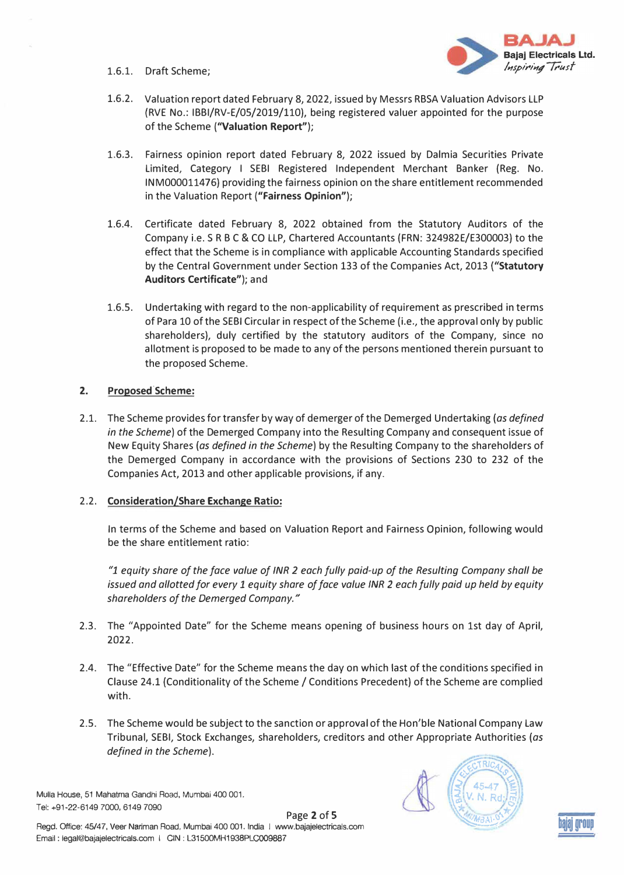1.6.l. Draft Scheme;



- 1.6.2. Valuation report dated February 8, 2022, issued by Messrs RBSA Valuation Advisors LLP {RVE No.: IBBI/RV-E/05/2019/110), being registered valuer appointed for the purpose of the Scheme **("Valuation Report");**
- 1.6.3. Fairness opinion report dated February 8, 2022 issued by Dalmia Securities Private Limited, Category I SEBI Registered Independent Merchant Banker (Reg. No. INM000011476) providing the fairness opinion on the share entitlement recommended in the Valuation Report **("Fairness Opinion");**
- 1.6.4. Certificate dated February 8, 2022 obtained from the Statutory Auditors of the Company i.e. S R BC & CO LLP, Chartered Accountants (FRN: 324982E/E300003) to the effect that the Scheme is in compliance with applicable Accounting Standards specified by the Central Government under Section 133 of the Companies Act, 2013 **{"Statutory Auditors Certificate");** and
- 1.6.5. Undertaking with regard to the non-applicability of requirement as prescribed in terms of Para 10 of the SEBI Circular in respect of the Scheme (i.e., the approval only by public shareholders), duly certified by the statutory auditors of the Company, since no allotment is proposed to be made to any of the persons mentioned therein pursuant to the proposed Scheme.

# **2. Proposed.Scheme:**

2.1. The Scheme provides for transfer by way of demerger of the Demerged Undertaking *(as defined a) in the Scheme*) of the Demerged Company into the Resulting Company and consequent issue of New Equity Shares *(as defined in the Scheme)* by the Resulting Company to the shareholders of the Demerged Company in accordance with the provisions of Sections 230 to 232 of the Companies Act, 2013 and other applicable provisions, if any.

# 2.2. **Consideration/Share Exchange Ratio:**

In terms of the Scheme and based on Valuation Report and Fairness Opinion, following would be the share entitlement ratio:

*"1 equity share of the face value of INR 2 each fully paid-up of the Resulting Company shall be issued and allotted for every 1 equity share of face value INR 2 each fully paid up held by equity*  shareholders of the Demerged Company."

- 2.3. The "Appointed Date" for the Scheme means opening of business hours on 1st day of April, **2022.**
- 2.4. The "Effective Date" for the Scheme means the day on which last of the conditions specified in Clause 24.1 {Conditionality of the Scheme / Conditions Precedent) of the Scheme are complied with.
- 2.5. The Scheme would be subject to the sanction or approval of the Hon'ble National Company Law Tribunal, SEBI, Stock Exchanges, shareholders, creditors and other Appropriate Authorities *(as defined in the Scheme).*

Mulla House, 51 Mahatma Gandhi Road, Mumbai 400 001. Tel: +91-22-6149 7000, 6149 7090

Page **2** of **S**  Regd. Office: 45/47, Veer Nariman Road, Mumbai 400 001. India | www.bajajelectricals.com Email: legal@bajajelectricals.com | CIN: L31500MH1938PLC009887



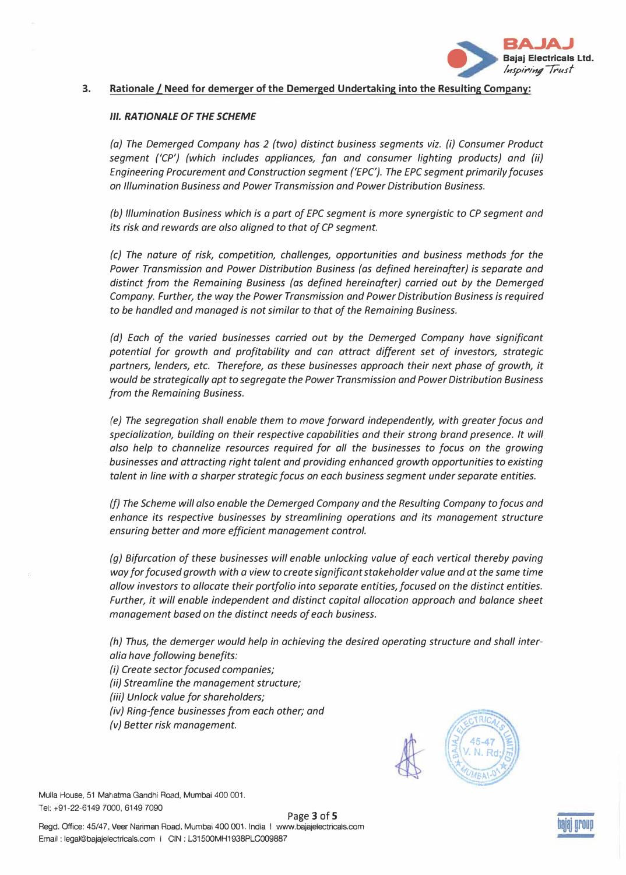

#### **3. Rationale/ Need for demerger of the Demerged Undertaking into the Resulting Company:**

#### *Ill. RATIONALE OF THE SCHEME*

*(a) The Demerged Company has 2 (two) distinct business segments viz. (i) Consumer Product segment ('CP') (which includes appliances, fan and consumer lighting products) and (ii) Engineering Procurement and Construction segment {'EPC'). The EPC segment primarily focuses on Illumination Business and Power Transmission and Power Distribution Business.*

*(b) Illumination Business which is a part of EPC segment is more synergistic to CP segment and its risk and rewards are also aligned to that of CP segment.*

*(c) The nature of risk, competition, challenges, opportunities and business methods for the Power Transmission and Power Distribution Business (as defined hereinafter) is separate and distinct from the Remaining Business (as defined hereinafter) carried out by the Demerged Company. Further, the way the Power Transmission and Power Distribution Business is required to be handled and managed is not similar to that of the Remaining Business.*

*(d) Each of the varied businesses carried out by the Demerged Company have significant potential for growth and profitability and can attract different set of investors, strategic partners, lenders, etc. Therefore, as these businesses approach their next phase of growth, it would be strategically apt to segregate the Power Transmission and Power Distribution Business from the Remaining Business.*

*(e) The segregation shall enable them to move forward independently, with greater focus and specialization, building on their respective capabilities and their strong brand presence. It will also help to channelize resources required for all the businesses to focus on the growing · businesses and attracting right talent and providing enhanced growth opportunities to existing talent in line with a sharper strategic focus on each business segment under separate entities.*

*(f) The Scheme will also enable the Demerged Company and the Resulting Company to focus and enhance its respective businesses by streamlining operations and its management structure ensuring better and more efficient management control.*

*(g) Bifurcation of these businesses will enable unlocking value of each vertical thereby paving way for focused growth with a view to create significant stakeholder value and at the same time allow investors to allocate their portfolio into separate entities, focused on the distinct entities. Further, it will enable independent and distinct capital allocation approach and balance sheet management based on the distinct needs of each business.*

*(h) Thus, the demerger would help in achieving the desired operating structure and shall interalia have following benefits:*

*(i) Create sector focused companies;*

*(ii) Streamline the management structure;*

*(iii) Unlock value for shareholders;*

*(iv) Ring-fence businesses from each other; and*

*(v) Better risk management.*



Mulla House, 51 Mahatma Gandhi Road, Mumbai 400 001. Tel: +91-22-6149 7000, 6149 7090

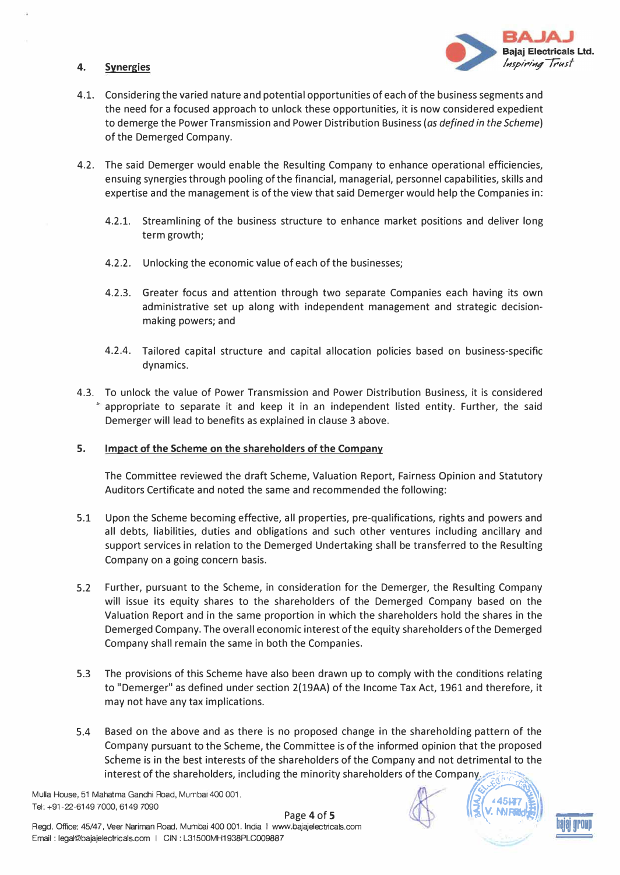## **4. Synergies**



- 4.1. Considering the varied nature and potential opportunities of each of the business segments and the need for a focused approach to unlock these opportunities, it is now considered expedient to demerge the Power Transmission and Power Distribution Business *(as defined in the Scheme)*  of the Demerged Company.
- 4.2. The said Demerger would enable the Resulting Company to enhance operational efficiencies, ensuing synergies through pooling of the financial, managerial, personnel capabilities, skills and expertise and the management is of the view that said Demerger would help the Companies in:
	- 4.2.1. Streamlining of the business structure to enhance market positions and deliver long term growth;
	- 4.2.2. Unlocking the economic value of each of the businesses;
	- 4.2.3. Greater focus and attention through two separate Companies each having its own administrative set up along with independent management and strategic decisionmaking powers; and
	- 4.2.4. Tailored capital structure and capital allocation policies based on business-specific dynamics.
- 4.3. To unlock the value of Power Transmission and Power Distribution Business, it is considered appropriate to separate it and keep it in an independent listed entity. Further, the said Demerger will lead to benefits as explained in clause 3 above.

### **5. Impact of the Scheme on the shareholders of the Company**

The Committee reviewed the draft Scheme, Valuation Report, Fairness Opinion and Statutory Auditors Certificate and noted the same and recommended the following:

- 5.1 Upon the Scheme becoming effective, all properties, pre-qualifications, rights and powers and all debts, liabilities, duties and obligations and such other ventures including ancillary and support services in relation to the Demerged Undertaking shall be transferred to the Resulting Company on a going concern basis.
- 5.2 Further, pursuant to the Scheme, in consideration for the Demerger, the Resulting Company will issue its equity shares to the shareholders of the Demerged Company based on the Valuation Report and in the same proportion in which the shareholders hold the shares in the Demerged Company. The overall economic interest of the equity shareholders of the Demerged Company shall remain the same in both the Companies.
- 5.3 The provisions of this Scheme have also been drawn up to comply with the conditions relating to "Demerger" as defined under section 2(19AA) of the Income Tax Act, 1961 and therefore, it may not have any tax implications.
- 5.4 Based on the above and as there is no proposed change in the shareholding pattern of the Company pursuant to the Scheme, the Committee is of the informed opinion that the proposed Scheme is in the best interests of the shareholders of the Company and not detrimental to the interest of the shareholders, including the minority shareholders of the Company ·;·::;-���".!-

Mulia House, 51 Mahatma Gandhi Road, Mumbai 400 001.<br>Tel: +91-22-6149 7000, 6149 7090

Regd. Office: 45/47, Veer Nariman Road, Mumbai 400 001. India I www.bajajelectricals.com **Department of the Contract of Contract Contract of Contract Contract Contract Contract Contract Contract Contract Contract Contract** Email : legal@bajajelectricals.com I CIN : L31500MH1938PLC009887